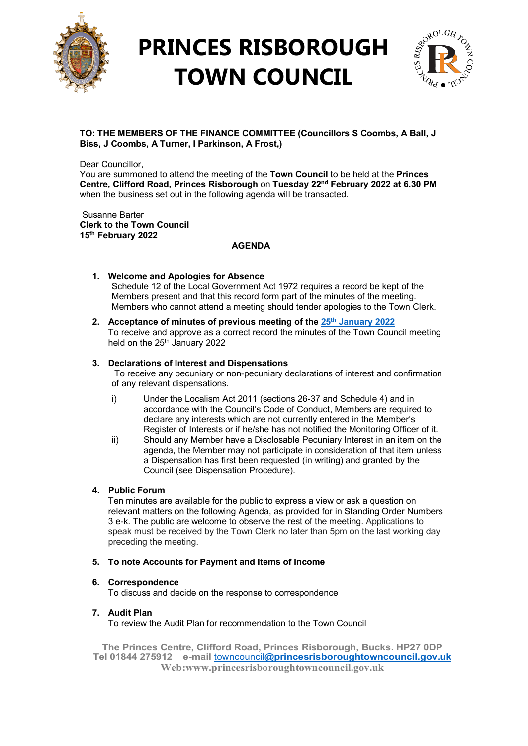

# **PRINCES RISBOROUGH TOWN COUNCIL**



### **TO: THE MEMBERS OF THE FINANCE COMMITTEE (Councillors S Coombs, A Ball, J Biss, J Coombs, A Turner, I Parkinson, A Frost,)**

Dear Councillor,

You are summoned to attend the meeting of the **Town Council** to be held at the **Princes Centre, Clifford Road, Princes Risborough** on **Tuesday 22nd February 2022 at 6.30 PM**  when the business set out in the following agenda will be transacted.

Susanne Barter **Clerk to the Town Council 15th February 2022**

### **AGENDA**

- **1. Welcome and Apologies for Absence** Schedule 12 of the Local Government Act 1972 requires a record be kept of the Members present and that this record form part of the minutes of the meeting. Members who cannot attend a meeting should tender apologies to the Town Clerk.
- **2. Acceptance of minutes of previous meeting of the 25th [January 2022](http://www.princesrisboroughtowncouncil.gov.uk/_UserFiles/Files/_Minutes/138768-Finance__mins__Jan_25th_2022.pdf)** To receive and approve as a correct record the minutes of the Town Council meeting held on the 25<sup>th</sup> January 2022

## **3. Declarations of Interest and Dispensations**

To receive any pecuniary or non-pecuniary declarations of interest and confirmation of any relevant dispensations.

- i) Under the Localism Act 2011 (sections 26-37 and Schedule 4) and in accordance with the Council's Code of Conduct, Members are required to declare any interests which are not currently entered in the Member's Register of Interests or if he/she has not notified the Monitoring Officer of it.
- ii) Should any Member have a Disclosable Pecuniary Interest in an item on the agenda, the Member may not participate in consideration of that item unless a Dispensation has first been requested (in writing) and granted by the Council (see Dispensation Procedure).

### **4. Public Forum**

Ten minutes are available for the public to express a view or ask a question on relevant matters on the following Agenda, as provided for in Standing Order Numbers 3 e-k. The public are welcome to observe the rest of the meeting. Applications to speak must be received by the Town Clerk no later than 5pm on the last working day preceding the meeting.

### **5. To note Accounts for Payment and Items of Income**

### **6. Correspondence**

To discuss and decide on the response to correspondence

**7. Audit Plan** To review the Audit Plan for recommendation to the Town Council

**The Princes Centre, Clifford Road, Princes Risborough, Bucks. HP27 0DP Tel 01844 275912 e-mail** towncouncil**[@princesrisboroughtowncouncil.gov.uk](mailto:towncouncil@princesrisboroughtowncouncil.gov.uk) Web:www.princesrisboroughtowncouncil.gov.uk**